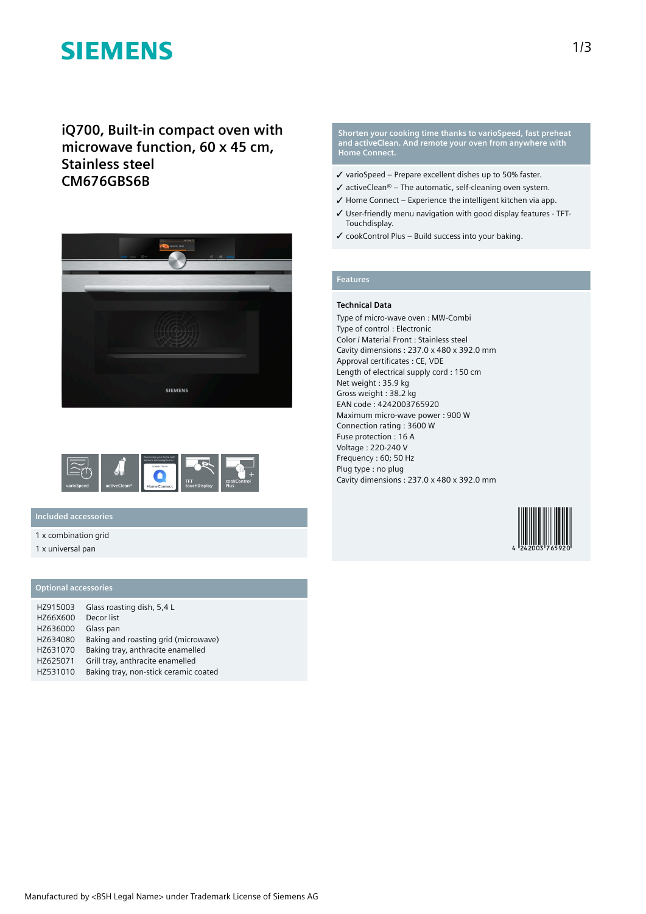# **SIEMENS**

**iQ700, Built-in compact oven with microwave function, 60 x 45 cm, Stainless steel CM676GBS6B**





## **Included accessories**

1 x combination grid

1 x universal pan

## **Optional accessories**

| HZ915003 | Glass roasting dish, 5,4 L            |  |
|----------|---------------------------------------|--|
| HZ66X600 | Decor list                            |  |
| HZ636000 | Glass pan                             |  |
| HZ634080 | Baking and roasting grid (microwave)  |  |
| HZ631070 | Baking tray, anthracite enamelled     |  |
| HZ625071 | Grill tray, anthracite enamelled      |  |
| HZ531010 | Baking tray, non-stick ceramic coated |  |

**Shorten your cooking time thanks to varioSpeed, fast preheat and activeClean. And remote your oven from anywhere with Home Connect.**

- ✓ varioSpeed Prepare excellent dishes up to 50% faster.
- $\checkmark$  activeClean® The automatic, self-cleaning oven system.
- $\checkmark$  Home Connect Experience the intelligent kitchen via app.
- ✓ User-friendly menu navigation with good display features TFT-Touchdisplay.
- ✓ cookControl Plus Build success into your baking.

## **Features**

#### **Technical Data**

Type of micro-wave oven : MW-Combi Type of control : Electronic Color / Material Front : Stainless steel Cavity dimensions : 237.0 x 480 x 392.0 mm Approval certificates : CE, VDE Length of electrical supply cord : 150 cm Net weight : 35.9 kg Gross weight : 38.2 kg EAN code : 4242003765920 Maximum micro-wave power : 900 W Connection rating : 3600 W Fuse protection : 16 A Voltage : 220-240 V Frequency : 60; 50 Hz Plug type : no plug Cavity dimensions : 237.0 x 480 x 392.0 mm

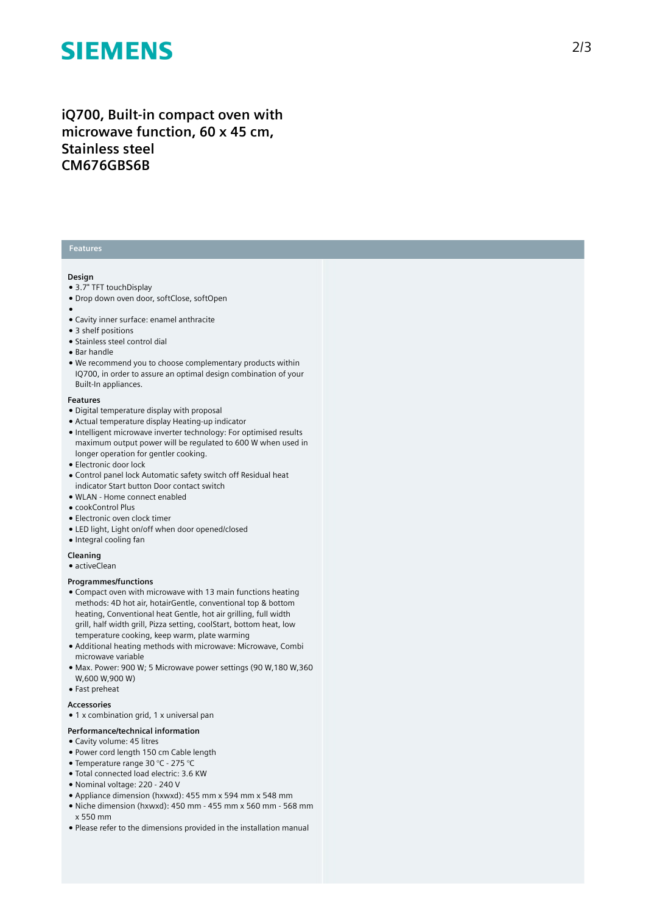# **SIEMENS**

# iQ700, Built-in compact oven with microwave function, 60 x 45 cm, **S t a i n l e s s s t e e l CM676GBS6B**

### **Features**

#### **Design**

- 3.7" TFT touchDisplay
- Drop down oven door, softClose, softOpen
- 
- ●<br>● Cavity inner surface: enamel anthracite
- 3 shelf positions
- Stainless steel control dial
- Bar handle
- We recommend you to choose complementary products within IQ700, in order to assure an optimal design combination of your Built-In appliances.

#### **F e a t u r e s**

- Digital temperature display with proposal
- Actual temperature display Heating-up indicator
- Intelligent microwave inverter technology: For optimised results maximum output power will be regulated to 600 W when used in longer operation for gentler cooking.
- Electronic door lock
- Control panel lock Automatic safety switch off Residual heat indicator Start button Door contact switch
- WLAN Home connect enabled
- cookControl Plus
- $\bullet$  Electronic oven clock timer
- LED light, Light on/off when door opened/closed
- Integral cooling fan

### **Cleaning**

 $\bullet$  activeClean

#### **Programmes/functions**

- Compact oven with microwave with 13 main functions heating methods: 4D hot air, hotairGentle, conventional top & bottom heating, Conventional heat Gentle, hot air grilling, full width grill, half width grill, Pizza setting, coolStart, bottom heat, low temperature cooking, keep warm, plate warming
- Additional heating methods with microwave: Microwave, Combi microwave variable
- Max. Power: 900 W; 5 Microwave power settings (90 W,180 W,360 W,600 W,900 W)
- Fast preheat

#### **A c c e s s o r i e s**

 $\bullet$  1 x combination grid, 1 x universal pan

#### Performance/technical information

- Cavity volume: 45 litres
- Power cord length 150 cm Cable length
- Temperature range 30 °C 275 °C
- · Total connected load electric: 3.6 KW
- Nominal voltage: 220 240 V
- Appliance dimension (hxwxd): 455 mm x 594 mm x 548 mm
- Niche dimension (hxwxd): 450 mm 455 mm x 560 mm 56 8 m m x 550 mm
- Please refer to the dimensions provided in the installation manual